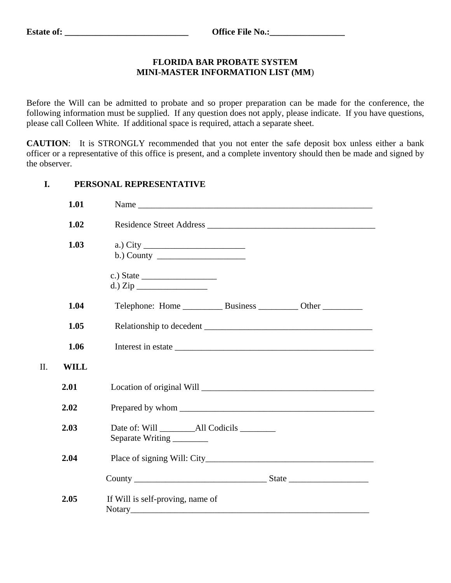II. **WILL**

## **FLORIDA BAR PROBATE SYSTEM MINI-MASTER INFORMATION LIST (MM**)

Before the Will can be admitted to probate and so proper preparation can be made for the conference, the following information must be supplied. If any question does not apply, please indicate. If you have questions, please call Colleen White. If additional space is required, attach a separate sheet.

**CAUTION**: It is STRONGLY recommended that you not enter the safe deposit box unless either a bank officer or a representative of this office is present, and a complete inventory should then be made and signed by the observer.

## **I. PERSONAL REPRESENTATIVE**

| 1.01        |                                            |
|-------------|--------------------------------------------|
| 1.02        | Residence Street Address                   |
| 1.03        | a.) City $\qquad \qquad$                   |
|             |                                            |
| 1.04        |                                            |
| 1.05        |                                            |
| 1.06        |                                            |
| <b>WILL</b> |                                            |
| 2.01        |                                            |
| 2.02        |                                            |
| 2.03        | Separate Writing                           |
| 2.04        |                                            |
|             |                                            |
| 2.05        | If Will is self-proving, name of<br>Notary |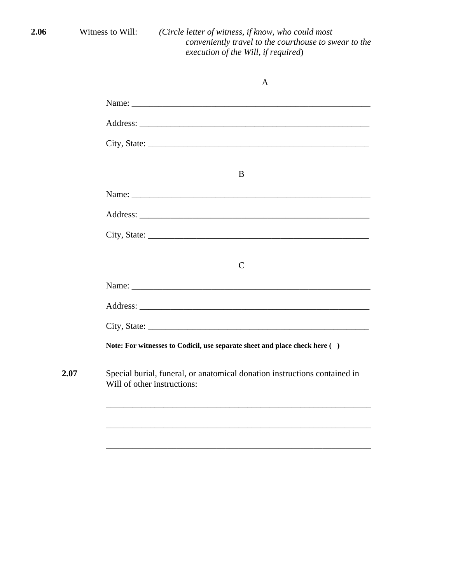**2.06** Witness to Will: *(Circle letter of witness, if know, who could most conveniently travel to the courthouse to swear to the execution of the Will, if required*)

|      | $\mathbf{A}$                                                                                                                                                                                                                   |
|------|--------------------------------------------------------------------------------------------------------------------------------------------------------------------------------------------------------------------------------|
|      | Name: Name and the state of the state of the state of the state of the state of the state of the state of the state of the state of the state of the state of the state of the state of the state of the state of the state of |
|      |                                                                                                                                                                                                                                |
|      |                                                                                                                                                                                                                                |
|      | B                                                                                                                                                                                                                              |
|      |                                                                                                                                                                                                                                |
|      |                                                                                                                                                                                                                                |
|      |                                                                                                                                                                                                                                |
|      | $\mathsf{C}$                                                                                                                                                                                                                   |
|      |                                                                                                                                                                                                                                |
|      |                                                                                                                                                                                                                                |
|      |                                                                                                                                                                                                                                |
|      | Note: For witnesses to Codicil, use separate sheet and place check here ()                                                                                                                                                     |
| 2.07 | Special burial, funeral, or anatomical donation instructions contained in<br>Will of other instructions:                                                                                                                       |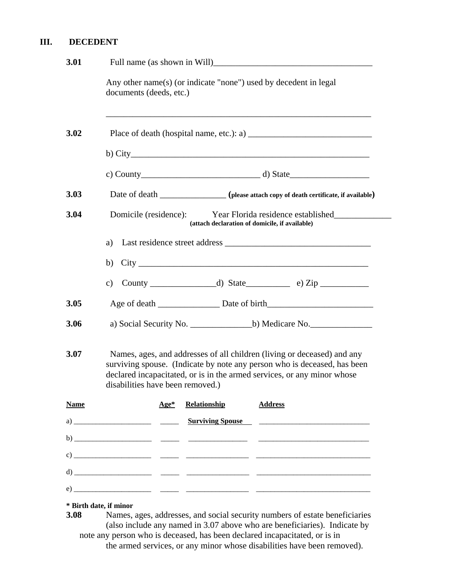## **III. DECEDENT**

| 3.01        |                                                                                                                                                                                                                                                                    |  |  |
|-------------|--------------------------------------------------------------------------------------------------------------------------------------------------------------------------------------------------------------------------------------------------------------------|--|--|
|             | Any other name(s) (or indicate "none") used by decedent in legal<br>documents (deeds, etc.)                                                                                                                                                                        |  |  |
| 3.02        |                                                                                                                                                                                                                                                                    |  |  |
|             |                                                                                                                                                                                                                                                                    |  |  |
|             |                                                                                                                                                                                                                                                                    |  |  |
| 3.03        | Date of death _______________ (please attach copy of death certificate, if available)                                                                                                                                                                              |  |  |
| 3.04        | Domicile (residence): Year Florida residence established<br>(attach declaration of domicile, if available)                                                                                                                                                         |  |  |
|             | a)                                                                                                                                                                                                                                                                 |  |  |
|             | b)                                                                                                                                                                                                                                                                 |  |  |
|             | $\mathbf{c})$                                                                                                                                                                                                                                                      |  |  |
| 3.05        |                                                                                                                                                                                                                                                                    |  |  |
| 3.06        |                                                                                                                                                                                                                                                                    |  |  |
| 3.07        | Names, ages, and addresses of all children (living or deceased) and any<br>surviving spouse. (Indicate by note any person who is deceased, has been<br>declared incapacitated, or is in the armed services, or any minor whose<br>disabilities have been removed.) |  |  |
| <b>Name</b> | Relationship<br><b>Address</b><br>$Age*$                                                                                                                                                                                                                           |  |  |
|             |                                                                                                                                                                                                                                                                    |  |  |
|             |                                                                                                                                                                                                                                                                    |  |  |
|             |                                                                                                                                                                                                                                                                    |  |  |
|             |                                                                                                                                                                                                                                                                    |  |  |
|             |                                                                                                                                                                                                                                                                    |  |  |

## **\* Birth date, if minor**

**3.08** Names, ages, addresses, and social security numbers of estate beneficiaries (also include any named in 3.07 above who are beneficiaries). Indicate by note any person who is deceased, has been declared incapacitated, or is in the armed services, or any minor whose disabilities have been removed).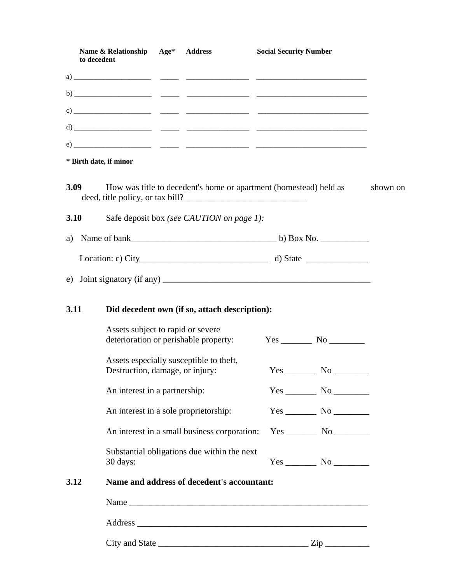|      | Name & Relationship Age* Address<br>to decedent                                                       | <b>Social Security Number</b> |                        |
|------|-------------------------------------------------------------------------------------------------------|-------------------------------|------------------------|
|      |                                                                                                       |                               |                        |
|      |                                                                                                       |                               |                        |
|      |                                                                                                       |                               |                        |
|      |                                                                                                       |                               |                        |
|      |                                                                                                       |                               |                        |
|      | * Birth date, if minor                                                                                |                               |                        |
| 3.09 | How was title to decedent's home or apartment (homestead) held as<br>deed, title policy, or tax bill? |                               |                        |
| 3.10 | Safe deposit box (see CAUTION on page 1):                                                             |                               |                        |
| a)   |                                                                                                       |                               |                        |
|      |                                                                                                       |                               |                        |
|      |                                                                                                       |                               |                        |
|      |                                                                                                       |                               |                        |
|      |                                                                                                       |                               |                        |
| 3.11 | Did decedent own (if so, attach description):                                                         |                               |                        |
|      | Assets subject to rapid or severe<br>deterioration or perishable property:                            |                               | $Yes$ No $\_\_\_\_\_\$ |
|      | Assets especially susceptible to theft,<br>Destruction, damage, or injury:                            |                               |                        |
|      | An interest in a partnership:                                                                         |                               |                        |
|      | An interest in a sole proprietorship:                                                                 |                               | $Yes$ No $\qquad$      |
|      | An interest in a small business corporation:                                                          |                               |                        |
|      | Substantial obligations due within the next<br>30 days:                                               |                               |                        |
| 3.12 | Name and address of decedent's accountant:                                                            |                               |                        |
|      |                                                                                                       |                               |                        |
|      |                                                                                                       |                               |                        |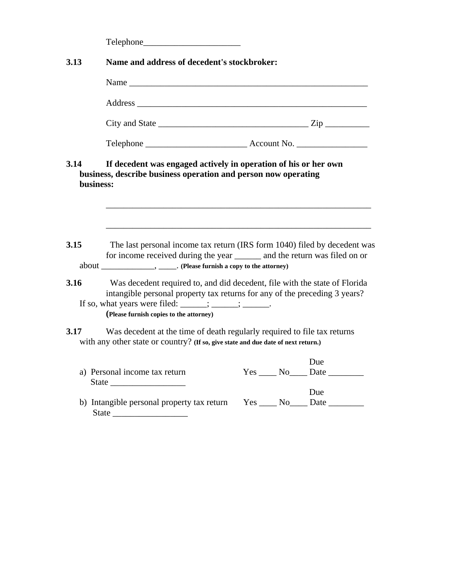|                   | Telephone                                                                                                                                                                                                                                                                                |  |                                   |
|-------------------|------------------------------------------------------------------------------------------------------------------------------------------------------------------------------------------------------------------------------------------------------------------------------------------|--|-----------------------------------|
| 3.13              | Name and address of decedent's stockbroker:                                                                                                                                                                                                                                              |  |                                   |
|                   |                                                                                                                                                                                                                                                                                          |  |                                   |
|                   |                                                                                                                                                                                                                                                                                          |  |                                   |
|                   | City and State $\_\_\_\_\_\_\_\_\_$                                                                                                                                                                                                                                                      |  |                                   |
|                   |                                                                                                                                                                                                                                                                                          |  |                                   |
| 3.14<br>business: | If decedent was engaged actively in operation of his or her own<br>business, describe business operation and person now operating                                                                                                                                                        |  |                                   |
| 3.15              | The last personal income tax return (IRS form 1040) filed by decedent was<br>for income received during the year ________ and the return was filed on or                                                                                                                                 |  |                                   |
| 3.16              | Was decedent required to, and did decedent, file with the state of Florida<br>intangible personal property tax returns for any of the preceding 3 years?<br>If so, what years were filed: $\frac{\cdots}{\cdots}$ ; $\frac{\cdots}{\cdots}$ .<br>(Please furnish copies to the attorney) |  |                                   |
| 3.17              | Was decedent at the time of death regularly required to file tax returns<br>with any other state or country? (If so, give state and due date of next return.)                                                                                                                            |  |                                   |
|                   | a) Personal income tax return                                                                                                                                                                                                                                                            |  | Due<br>$Yes \_\_No \_\_Date \_\_$ |
|                   | b) Intangible personal property tax return<br>State                                                                                                                                                                                                                                      |  | Due<br>$Yes \_\_\_No \_\_\_\_\$   |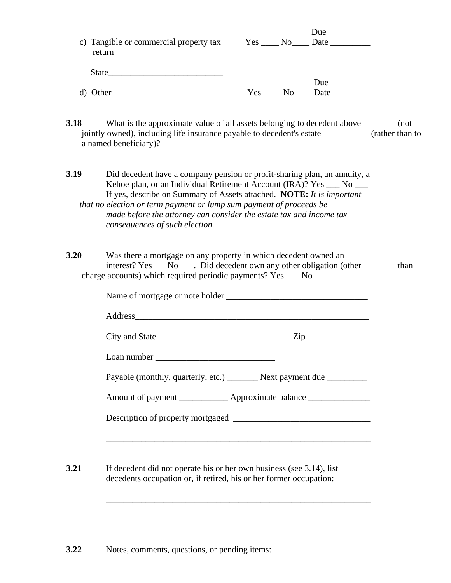| return                                                                                                        | Due<br>c) Tangible or commercial property tax Yes ____ No____ Date ________                                                                                                                                                                                                                        |       |
|---------------------------------------------------------------------------------------------------------------|----------------------------------------------------------------------------------------------------------------------------------------------------------------------------------------------------------------------------------------------------------------------------------------------------|-------|
|                                                                                                               |                                                                                                                                                                                                                                                                                                    |       |
| d) Other                                                                                                      | Due                                                                                                                                                                                                                                                                                                |       |
| 3.18<br>jointly owned), including life insurance payable to decedent's estate                                 | What is the approximate value of all assets belonging to decedent above<br>(rather than to                                                                                                                                                                                                         | (not) |
| 3.19<br>that no election or term payment or lump sum payment of proceeds be<br>consequences of such election. | Did decedent have a company pension or profit-sharing plan, an annuity, a<br>Kehoe plan, or an Individual Retirement Account (IRA)? Yes ___ No ___<br>If yes, describe on Summary of Assets attached. NOTE: It is important<br>made before the attorney can consider the estate tax and income tax |       |
| 3.20<br>charge accounts) which required periodic payments? Yes ___ No ___                                     | Was there a mortgage on any property in which decedent owned an<br>interest? Yes___ No ____. Did decedent own any other obligation (other                                                                                                                                                          | than  |
|                                                                                                               |                                                                                                                                                                                                                                                                                                    |       |
|                                                                                                               | City and State $\_\_\_\_\_\_\_\_$ Zip                                                                                                                                                                                                                                                              |       |
|                                                                                                               |                                                                                                                                                                                                                                                                                                    |       |
|                                                                                                               | Payable (monthly, quarterly, etc.) _________ Next payment due ___________                                                                                                                                                                                                                          |       |
|                                                                                                               | Amount of payment ______________ Approximate balance _______________                                                                                                                                                                                                                               |       |
|                                                                                                               |                                                                                                                                                                                                                                                                                                    |       |
|                                                                                                               |                                                                                                                                                                                                                                                                                                    |       |
| 3.21                                                                                                          | If decedent did not operate his or her own business (see 3.14), list<br>decedents occupation or, if retired, his or her former occupation:                                                                                                                                                         |       |

 $\overline{\phantom{a}}$  ,  $\overline{\phantom{a}}$  ,  $\overline{\phantom{a}}$  ,  $\overline{\phantom{a}}$  ,  $\overline{\phantom{a}}$  ,  $\overline{\phantom{a}}$  ,  $\overline{\phantom{a}}$  ,  $\overline{\phantom{a}}$  ,  $\overline{\phantom{a}}$  ,  $\overline{\phantom{a}}$  ,  $\overline{\phantom{a}}$  ,  $\overline{\phantom{a}}$  ,  $\overline{\phantom{a}}$  ,  $\overline{\phantom{a}}$  ,  $\overline{\phantom{a}}$  ,  $\overline{\phantom{a}}$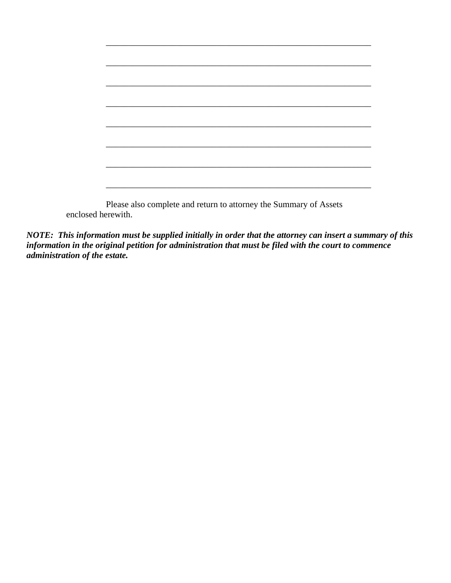enclosed herewith.

*NOTE: This information must be supplied initially in order that the attorney can insert a summary of this information in the original petition for administration that must be filed with the court to commence administration of the estate.*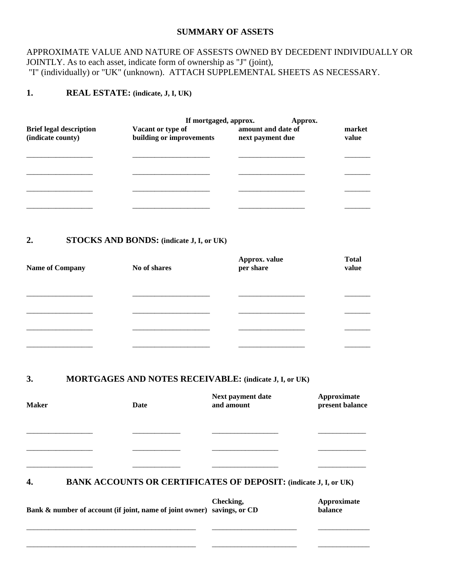#### **SUMMARY OF ASSETS**

## APPROXIMATE VALUE AND NATURE OF ASSESTS OWNED BY DECEDENT INDIVIDUALLY OR JOINTLY. As to each asset, indicate form of ownership as "J" (joint), "I" (individually) or "UK" (unknown). ATTACH SUPPLEMENTAL SHEETS AS NECESSARY.

## **1. REAL ESTATE: (indicate, J, I, UK)**

|                                                     | If mortgaged, approx.<br>Approx.              |                                        |                 |  |
|-----------------------------------------------------|-----------------------------------------------|----------------------------------------|-----------------|--|
| <b>Brief legal description</b><br>(indicate county) | Vacant or type of<br>building or improvements | amount and date of<br>next payment due | market<br>value |  |
|                                                     |                                               |                                        |                 |  |
|                                                     |                                               |                                        |                 |  |
|                                                     |                                               |                                        |                 |  |
|                                                     |                                               |                                        |                 |  |

#### **2. STOCKS AND BONDS: (indicate J, I, or UK)**

| <b>Name of Company</b> | No of shares | Approx. value<br>per share | <b>Total</b><br>value |
|------------------------|--------------|----------------------------|-----------------------|
|                        |              |                            |                       |
|                        |              |                            |                       |
|                        |              |                            |                       |
|                        |              |                            |                       |

#### **3. MORTGAGES AND NOTES RECEIVABLE: (indicate J, I, or UK)**

| <b>Maker</b> | Date | Next payment date<br>and amount                                         | Approximate<br>present balance |
|--------------|------|-------------------------------------------------------------------------|--------------------------------|
|              |      |                                                                         |                                |
|              |      |                                                                         |                                |
| 4.           |      | <b>BANK ACCOUNTS OR CERTIFICATES OF DEPOSIT: (indicate J, I, or UK)</b> |                                |

**Checking, 2008 Approximate Approximate Savings** or CD **balance** Bank & number of account (if joint, name of joint owner) savings, or CD

\_\_\_\_\_\_\_\_\_\_\_\_\_\_\_\_\_\_\_\_\_\_\_\_\_\_\_\_\_\_\_\_\_\_\_\_\_\_\_\_\_\_\_\_\_\_ \_\_\_\_\_\_\_\_\_\_\_\_\_\_\_\_\_\_\_\_\_\_\_ \_\_\_\_\_\_\_\_\_\_\_\_\_\_

\_\_\_\_\_\_\_\_\_\_\_\_\_\_\_\_\_\_\_\_\_\_\_\_\_\_\_\_\_\_\_\_\_\_\_\_\_\_\_\_\_\_\_\_\_\_ \_\_\_\_\_\_\_\_\_\_\_\_\_\_\_\_\_\_\_\_\_\_\_ \_\_\_\_\_\_\_\_\_\_\_\_\_\_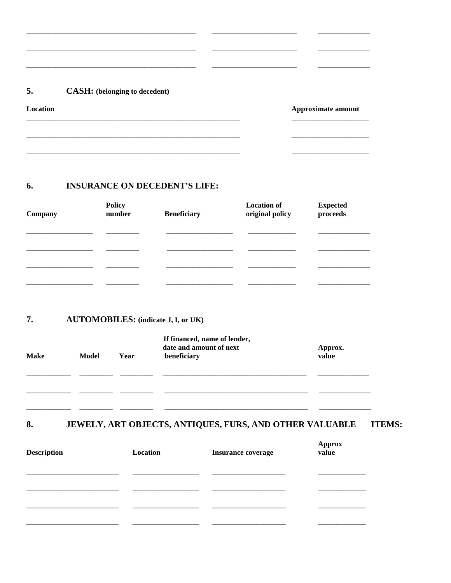#### 5. **CASH:** (belonging to decedent)

Location

Approximate amount

#### 6. **INSURANCE ON DECEDENT'S LIFE:**

<u> 1986 - Jan Barbarat, manazarta a</u>

| <b>Policy</b><br>number | <b>Beneficiary</b> | <b>Location of</b><br>original policy | <b>Expected</b><br>proceeds |
|-------------------------|--------------------|---------------------------------------|-----------------------------|
|                         |                    |                                       |                             |
|                         |                    |                                       |                             |
|                         |                    |                                       |                             |
|                         |                    |                                       |                             |

 $\overline{\phantom{a}}$ 

#### **AUTOMOBILES:** (indicate J, I, or UK) 7.

| <b>Make</b> | Model | Year | If financed, name of lender,<br>date and amount of next<br>beneficiary | Approx.<br>value |
|-------------|-------|------|------------------------------------------------------------------------|------------------|
|             |       |      |                                                                        |                  |
|             |       |      |                                                                        |                  |
|             |       |      |                                                                        |                  |

#### JEWELY, ART OBJECTS, ANTIQUES, FURS, AND OTHER VALUABLE 8. **ITEMS:**

| <b>Description</b> | Location | <b>Insurance coverage</b> | <b>Approx</b><br>value |
|--------------------|----------|---------------------------|------------------------|
|                    |          |                           |                        |
|                    |          |                           |                        |
|                    |          |                           |                        |
|                    |          |                           |                        |